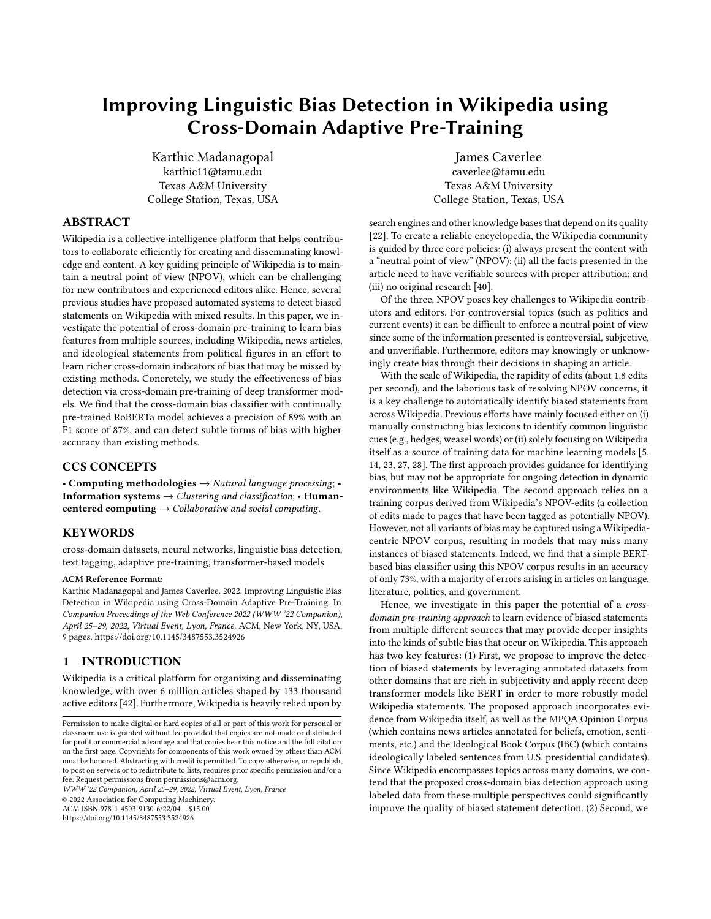# Improving Linguistic Bias Detection in Wikipedia using Cross-Domain Adaptive Pre-Training

[Karthic Madanagopal](https://orcid.org/0000-0001-8060-7985) karthic11@tamu.edu Texas A&M University College Station, Texas, USA

# ABSTRACT

Wikipedia is a collective intelligence platform that helps contributors to collaborate efficiently for creating and disseminating knowledge and content. A key guiding principle of Wikipedia is to maintain a neutral point of view (NPOV), which can be challenging for new contributors and experienced editors alike. Hence, several previous studies have proposed automated systems to detect biased statements on Wikipedia with mixed results. In this paper, we investigate the potential of cross-domain pre-training to learn bias features from multiple sources, including Wikipedia, news articles, and ideological statements from political figures in an effort to learn richer cross-domain indicators of bias that may be missed by existing methods. Concretely, we study the effectiveness of bias detection via cross-domain pre-training of deep transformer models. We find that the cross-domain bias classifier with continually pre-trained RoBERTa model achieves a precision of 89% with an F1 score of 87%, and can detect subtle forms of bias with higher accuracy than existing methods.

# CCS CONCEPTS

• Computing methodologies  $\rightarrow$  Natural language processing; **Information systems**  $\rightarrow$  Clustering and classification; • **Human**centered computing  $\rightarrow$  Collaborative and social computing.

### **KEYWORDS**

cross-domain datasets, neural networks, linguistic bias detection, text tagging, adaptive pre-training, transformer-based models

#### ACM Reference Format:

Karthic Madanagopal and James Caverlee. 2022. Improving Linguistic Bias Detection in Wikipedia using Cross-Domain Adaptive Pre-Training. In Companion Proceedings of the Web Conference 2022 (WWW '22 Companion), April 25–29, 2022, Virtual Event, Lyon, France. ACM, New York, NY, USA, [9](#page-8-0) pages.<https://doi.org/10.1145/3487553.3524926>

### **INTRODUCTION**

Wikipedia is a critical platform for organizing and disseminating knowledge, with over 6 million articles shaped by 133 thousand active editors [\[42\]](#page-8-1). Furthermore, Wikipedia is heavily relied upon by

WWW '22 Companion, April 25–29, 2022, Virtual Event, Lyon, France

© 2022 Association for Computing Machinery.

ACM ISBN 978-1-4503-9130-6/22/04. . . \$15.00

<https://doi.org/10.1145/3487553.3524926>

[James Caverlee](https://orcid.org/0000-0001-8350-8528) caverlee@tamu.edu Texas A&M University College Station, Texas, USA

search engines and other knowledge bases that depend on its quality [\[22\]](#page-7-0). To create a reliable encyclopedia, the Wikipedia community is guided by three core policies: (i) always present the content with a "neutral point of view" (NPOV); (ii) all the facts presented in the article need to have verifiable sources with proper attribution; and (iii) no original research [\[40\]](#page-7-1).

Of the three, NPOV poses key challenges to Wikipedia contributors and editors. For controversial topics (such as politics and current events) it can be difficult to enforce a neutral point of view since some of the information presented is controversial, subjective, and unverifiable. Furthermore, editors may knowingly or unknowingly create bias through their decisions in shaping an article.

With the scale of Wikipedia, the rapidity of edits (about 1.8 edits per second), and the laborious task of resolving NPOV concerns, it is a key challenge to automatically identify biased statements from across Wikipedia. Previous efforts have mainly focused either on (i) manually constructing bias lexicons to identify common linguistic cues (e.g., hedges, weasel words) or (ii) solely focusing on Wikipedia itself as a source of training data for machine learning models [\[5,](#page-7-2) [14,](#page-7-3) [23,](#page-7-4) [27,](#page-7-5) [28\]](#page-7-6). The first approach provides guidance for identifying bias, but may not be appropriate for ongoing detection in dynamic environments like Wikipedia. The second approach relies on a training corpus derived from Wikipedia's NPOV-edits (a collection of edits made to pages that have been tagged as potentially NPOV). However, not all variants of bias may be captured using a Wikipediacentric NPOV corpus, resulting in models that may miss many instances of biased statements. Indeed, we find that a simple BERTbased bias classifier using this NPOV corpus results in an accuracy of only 73%, with a majority of errors arising in articles on language, literature, politics, and government.

Hence, we investigate in this paper the potential of a crossdomain pre-training approach to learn evidence of biased statements from multiple different sources that may provide deeper insights into the kinds of subtle bias that occur on Wikipedia. This approach has two key features: (1) First, we propose to improve the detection of biased statements by leveraging annotated datasets from other domains that are rich in subjectivity and apply recent deep transformer models like BERT in order to more robustly model Wikipedia statements. The proposed approach incorporates evidence from Wikipedia itself, as well as the MPQA Opinion Corpus (which contains news articles annotated for beliefs, emotion, sentiments, etc.) and the Ideological Book Corpus (IBC) (which contains ideologically labeled sentences from U.S. presidential candidates). Since Wikipedia encompasses topics across many domains, we contend that the proposed cross-domain bias detection approach using labeled data from these multiple perspectives could significantly improve the quality of biased statement detection. (2) Second, we

Permission to make digital or hard copies of all or part of this work for personal or classroom use is granted without fee provided that copies are not made or distributed for profit or commercial advantage and that copies bear this notice and the full citation on the first page. Copyrights for components of this work owned by others than ACM must be honored. Abstracting with credit is permitted. To copy otherwise, or republish, to post on servers or to redistribute to lists, requires prior specific permission and/or a fee. Request permissions from permissions@acm.org.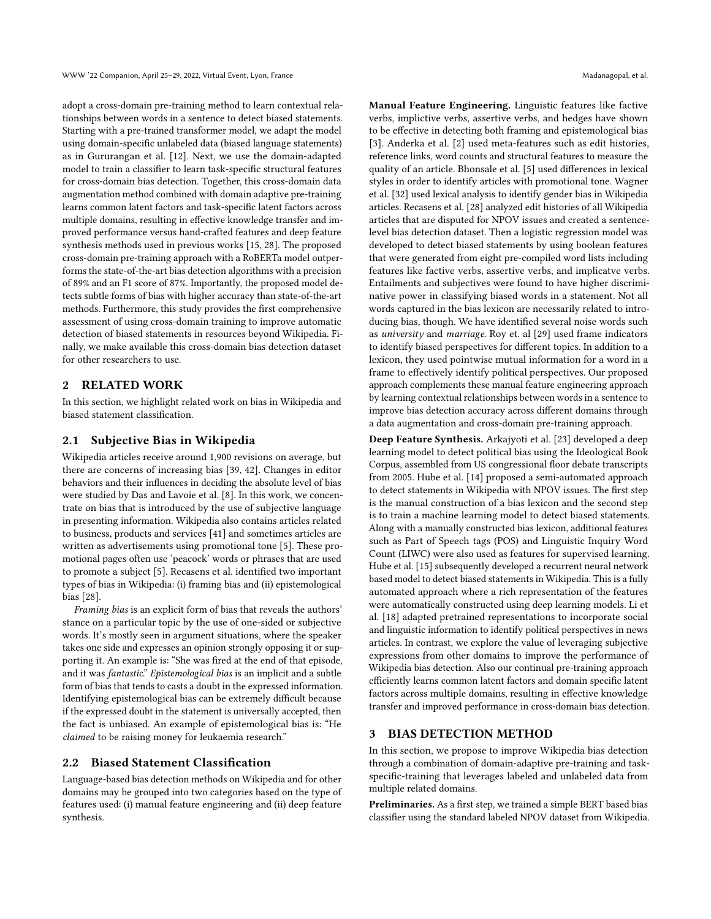adopt a cross-domain pre-training method to learn contextual relationships between words in a sentence to detect biased statements. Starting with a pre-trained transformer model, we adapt the model using domain-specific unlabeled data (biased language statements) as in Gururangan et al. [\[12\]](#page-7-7). Next, we use the domain-adapted model to train a classifier to learn task-specific structural features for cross-domain bias detection. Together, this cross-domain data augmentation method combined with domain adaptive pre-training learns common latent factors and task-specific latent factors across multiple domains, resulting in effective knowledge transfer and improved performance versus hand-crafted features and deep feature synthesis methods used in previous works [\[15,](#page-7-8) [28\]](#page-7-6). The proposed cross-domain pre-training approach with a RoBERTa model outperforms the state-of-the-art bias detection algorithms with a precision of 89% and an F1 score of 87%. Importantly, the proposed model detects subtle forms of bias with higher accuracy than state-of-the-art methods. Furthermore, this study provides the first comprehensive assessment of using cross-domain training to improve automatic detection of biased statements in resources beyond Wikipedia. Finally, we make available this cross-domain bias detection dataset for other researchers to use.

## 2 RELATED WORK

In this section, we highlight related work on bias in Wikipedia and biased statement classification.

## 2.1 Subjective Bias in Wikipedia

Wikipedia articles receive around 1,900 revisions on average, but there are concerns of increasing bias [\[39,](#page-7-9) [42\]](#page-8-1). Changes in editor behaviors and their influences in deciding the absolute level of bias were studied by Das and Lavoie et al. [\[8\]](#page-7-10). In this work, we concentrate on bias that is introduced by the use of subjective language in presenting information. Wikipedia also contains articles related to business, products and services [\[41\]](#page-7-11) and sometimes articles are written as advertisements using promotional tone [\[5\]](#page-7-2). These promotional pages often use 'peacock' words or phrases that are used to promote a subject [\[5\]](#page-7-2). Recasens et al. identified two important types of bias in Wikipedia: (i) framing bias and (ii) epistemological bias [\[28\]](#page-7-6).

Framing bias is an explicit form of bias that reveals the authors' stance on a particular topic by the use of one-sided or subjective words. It's mostly seen in argument situations, where the speaker takes one side and expresses an opinion strongly opposing it or supporting it. An example is: "She was fired at the end of that episode, and it was fantastic." Epistemological bias is an implicit and a subtle form of bias that tends to casts a doubt in the expressed information. Identifying epistemological bias can be extremely difficult because if the expressed doubt in the statement is universally accepted, then the fact is unbiased. An example of epistemological bias is: "He claimed to be raising money for leukaemia research."

#### 2.2 Biased Statement Classification

Language-based bias detection methods on Wikipedia and for other domains may be grouped into two categories based on the type of features used: (i) manual feature engineering and (ii) deep feature synthesis.

Manual Feature Engineering. Linguistic features like factive verbs, implictive verbs, assertive verbs, and hedges have shown to be effective in detecting both framing and epistemological bias [\[3\]](#page-7-12). Anderka et al. [\[2\]](#page-7-13) used meta-features such as edit histories, reference links, word counts and structural features to measure the quality of an article. Bhonsale et al. [\[5\]](#page-7-2) used differences in lexical styles in order to identify articles with promotional tone. Wagner et al. [\[32\]](#page-7-14) used lexical analysis to identify gender bias in Wikipedia articles. Recasens et al. [\[28\]](#page-7-6) analyzed edit histories of all Wikipedia articles that are disputed for NPOV issues and created a sentencelevel bias detection dataset. Then a logistic regression model was developed to detect biased statements by using boolean features that were generated from eight pre-compiled word lists including features like factive verbs, assertive verbs, and implicatve verbs. Entailments and subjectives were found to have higher discriminative power in classifying biased words in a statement. Not all words captured in the bias lexicon are necessarily related to introducing bias, though. We have identified several noise words such as university and marriage. Roy et. al [\[29\]](#page-7-15) used frame indicators to identify biased perspectives for different topics. In addition to a lexicon, they used pointwise mutual information for a word in a frame to effectively identify political perspectives. Our proposed approach complements these manual feature engineering approach by learning contextual relationships between words in a sentence to improve bias detection accuracy across different domains through a data augmentation and cross-domain pre-training approach.

Deep Feature Synthesis. Arkajyoti et al. [\[23\]](#page-7-4) developed a deep learning model to detect political bias using the Ideological Book Corpus, assembled from US congressional floor debate transcripts from 2005. Hube et al. [\[14\]](#page-7-3) proposed a semi-automated approach to detect statements in Wikipedia with NPOV issues. The first step is the manual construction of a bias lexicon and the second step is to train a machine learning model to detect biased statements. Along with a manually constructed bias lexicon, additional features such as Part of Speech tags (POS) and Linguistic Inquiry Word Count (LIWC) were also used as features for supervised learning. Hube et al. [\[15\]](#page-7-8) subsequently developed a recurrent neural network based model to detect biased statements in Wikipedia. This is a fully automated approach where a rich representation of the features were automatically constructed using deep learning models. Li et al. [\[18\]](#page-7-16) adapted pretrained representations to incorporate social and linguistic information to identify political perspectives in news articles. In contrast, we explore the value of leveraging subjective expressions from other domains to improve the performance of Wikipedia bias detection. Also our continual pre-training approach efficiently learns common latent factors and domain specific latent factors across multiple domains, resulting in effective knowledge transfer and improved performance in cross-domain bias detection.

### 3 BIAS DETECTION METHOD

In this section, we propose to improve Wikipedia bias detection through a combination of domain-adaptive pre-training and taskspecific-training that leverages labeled and unlabeled data from multiple related domains.

Preliminaries. As a first step, we trained a simple BERT based bias classifier using the standard labeled NPOV dataset from Wikipedia.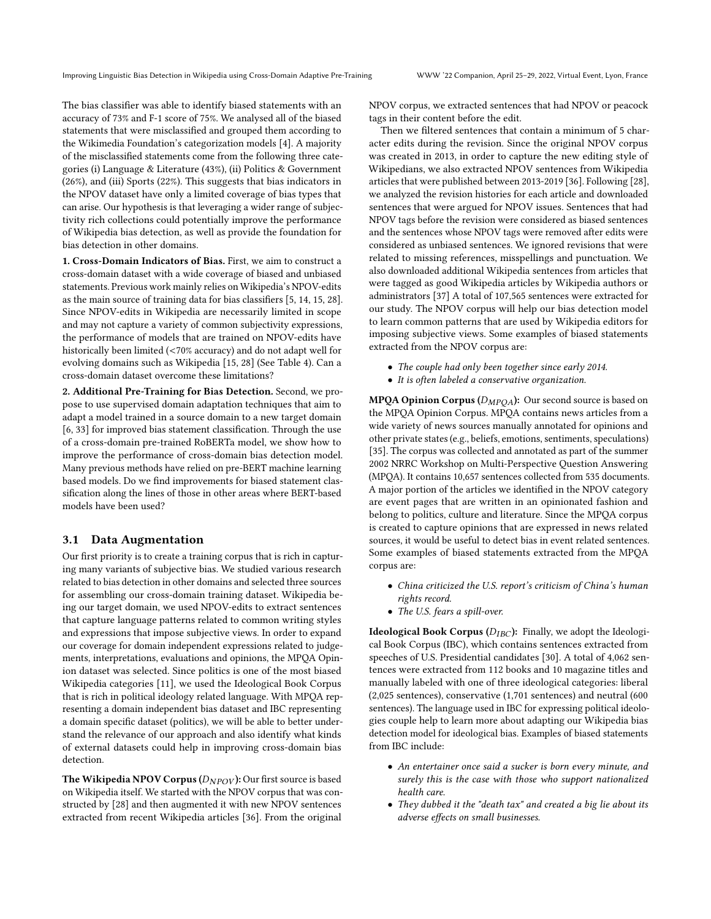The bias classifier was able to identify biased statements with an accuracy of 73% and F-1 score of 75%. We analysed all of the biased statements that were misclassified and grouped them according to the Wikimedia Foundation's categorization models [\[4\]](#page-7-17). A majority of the misclassified statements come from the following three categories (i) Language & Literature (43%), (ii) Politics & Government (26%), and (iii) Sports (22%). This suggests that bias indicators in the NPOV dataset have only a limited coverage of bias types that can arise. Our hypothesis is that leveraging a wider range of subjectivity rich collections could potentially improve the performance of Wikipedia bias detection, as well as provide the foundation for bias detection in other domains.

1. Cross-Domain Indicators of Bias. First, we aim to construct a cross-domain dataset with a wide coverage of biased and unbiased statements. Previous work mainly relies on Wikipedia's NPOV-edits as the main source of training data for bias classifiers [\[5,](#page-7-2) [14,](#page-7-3) [15,](#page-7-8) [28\]](#page-7-6). Since NPOV-edits in Wikipedia are necessarily limited in scope and may not capture a variety of common subjectivity expressions, the performance of models that are trained on NPOV-edits have historically been limited (<70% accuracy) and do not adapt well for evolving domains such as Wikipedia [\[15,](#page-7-8) [28\]](#page-7-6) (See Table [4\)](#page-5-0). Can a cross-domain dataset overcome these limitations?

2. Additional Pre-Training for Bias Detection. Second, we propose to use supervised domain adaptation techniques that aim to adapt a model trained in a source domain to a new target domain [\[6,](#page-7-18) [33\]](#page-7-19) for improved bias statement classification. Through the use of a cross-domain pre-trained RoBERTa model, we show how to improve the performance of cross-domain bias detection model. Many previous methods have relied on pre-BERT machine learning based models. Do we find improvements for biased statement classification along the lines of those in other areas where BERT-based models have been used?

# 3.1 Data Augmentation

Our first priority is to create a training corpus that is rich in capturing many variants of subjective bias. We studied various research related to bias detection in other domains and selected three sources for assembling our cross-domain training dataset. Wikipedia being our target domain, we used NPOV-edits to extract sentences that capture language patterns related to common writing styles and expressions that impose subjective views. In order to expand our coverage for domain independent expressions related to judgements, interpretations, evaluations and opinions, the MPQA Opinion dataset was selected. Since politics is one of the most biased Wikipedia categories [\[11\]](#page-7-20), we used the Ideological Book Corpus that is rich in political ideology related language. With MPQA representing a domain independent bias dataset and IBC representing a domain specific dataset (politics), we will be able to better understand the relevance of our approach and also identify what kinds of external datasets could help in improving cross-domain bias detection.

The Wikipedia NPOV Corpus  $(D_{NPOV})$ : Our first source is based on Wikipedia itself. We started with the NPOV corpus that was constructed by [\[28\]](#page-7-6) and then augmented it with new NPOV sentences extracted from recent Wikipedia articles [\[36\]](#page-7-21). From the original

NPOV corpus, we extracted sentences that had NPOV or peacock tags in their content before the edit.

Then we filtered sentences that contain a minimum of 5 character edits during the revision. Since the original NPOV corpus was created in 2013, in order to capture the new editing style of Wikipedians, we also extracted NPOV sentences from Wikipedia articles that were published between 2013-2019 [\[36\]](#page-7-21). Following [\[28\]](#page-7-6), we analyzed the revision histories for each article and downloaded sentences that were argued for NPOV issues. Sentences that had NPOV tags before the revision were considered as biased sentences and the sentences whose NPOV tags were removed after edits were considered as unbiased sentences. We ignored revisions that were related to missing references, misspellings and punctuation. We also downloaded additional Wikipedia sentences from articles that were tagged as good Wikipedia articles by Wikipedia authors or administrators [\[37\]](#page-7-22) A total of 107,565 sentences were extracted for our study. The NPOV corpus will help our bias detection model to learn common patterns that are used by Wikipedia editors for imposing subjective views. Some examples of biased statements extracted from the NPOV corpus are:

- The couple had only been together since early 2014.
- It is often labeled a conservative organization.

**MPQA Opinion Corpus** ( $D_{MPOA}$ ): Our second source is based on the MPQA Opinion Corpus. MPQA contains news articles from a wide variety of news sources manually annotated for opinions and other private states (e.g., beliefs, emotions, sentiments, speculations) [\[35\]](#page-7-23). The corpus was collected and annotated as part of the summer 2002 NRRC Workshop on Multi-Perspective Question Answering (MPQA). It contains 10,657 sentences collected from 535 documents. A major portion of the articles we identified in the NPOV category are event pages that are written in an opinionated fashion and belong to politics, culture and literature. Since the MPQA corpus is created to capture opinions that are expressed in news related sources, it would be useful to detect bias in event related sentences. Some examples of biased statements extracted from the MPQA corpus are:

- China criticized the U.S. report's criticism of China's human rights record.
- The U.S. fears a spill-over.

**Ideological Book Corpus (** $D_{IBC}$ ): Finally, we adopt the Ideological Book Corpus (IBC), which contains sentences extracted from speeches of U.S. Presidential candidates [\[30\]](#page-7-24). A total of 4,062 sentences were extracted from 112 books and 10 magazine titles and manually labeled with one of three ideological categories: liberal (2,025 sentences), conservative (1,701 sentences) and neutral (600 sentences). The language used in IBC for expressing political ideologies couple help to learn more about adapting our Wikipedia bias detection model for ideological bias. Examples of biased statements from IBC include:

- An entertainer once said a sucker is born every minute, and surely this is the case with those who support nationalized health care.
- They dubbed it the "death tax" and created a big lie about its adverse effects on small businesses.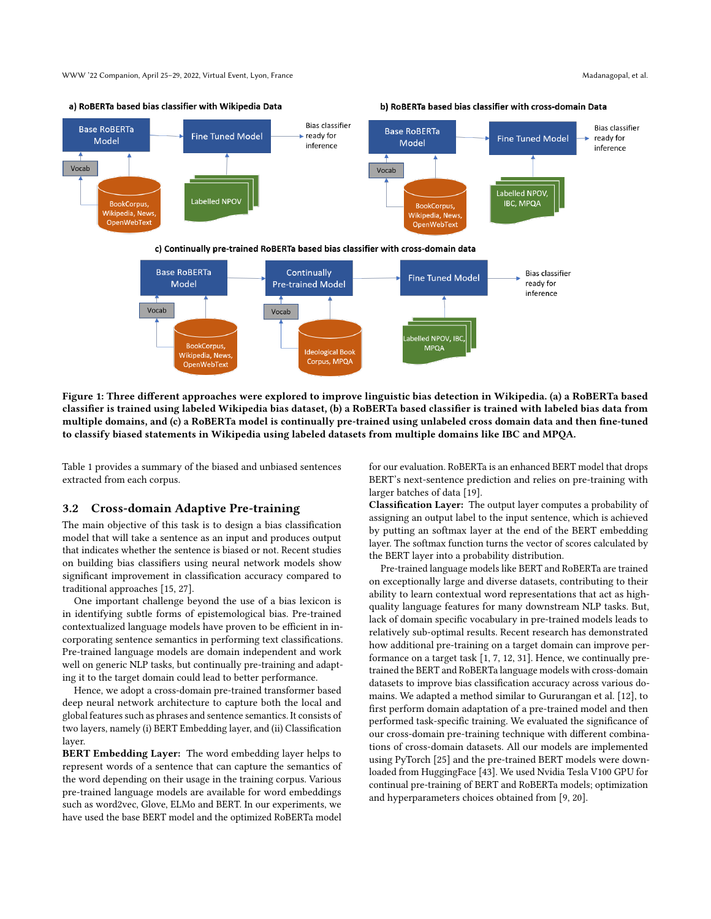WWW '22 Companion, April 25–29, 2022, Virtual Event, Lyon, France Madanagopal, et al.



Figure 1: Three different approaches were explored to improve linguistic bias detection in Wikipedia. (a) a RoBERTa based classifier is trained using labeled Wikipedia bias dataset, (b) a RoBERTa based classifier is trained with labeled bias data from multiple domains, and (c) a RoBERTa model is continually pre-trained using unlabeled cross domain data and then fine-tuned to classify biased statements in Wikipedia using labeled datasets from multiple domains like IBC and MPQA.

Table [1](#page-4-0) provides a summary of the biased and unbiased sentences extracted from each corpus.

#### 3.2 Cross-domain Adaptive Pre-training

The main objective of this task is to design a bias classification model that will take a sentence as an input and produces output that indicates whether the sentence is biased or not. Recent studies on building bias classifiers using neural network models show significant improvement in classification accuracy compared to traditional approaches [\[15,](#page-7-8) [27\]](#page-7-5).

One important challenge beyond the use of a bias lexicon is in identifying subtle forms of epistemological bias. Pre-trained contextualized language models have proven to be efficient in incorporating sentence semantics in performing text classifications. Pre-trained language models are domain independent and work well on generic NLP tasks, but continually pre-training and adapting it to the target domain could lead to better performance.

Hence, we adopt a cross-domain pre-trained transformer based deep neural network architecture to capture both the local and global features such as phrases and sentence semantics. It consists of two layers, namely (i) BERT Embedding layer, and (ii) Classification layer.

BERT Embedding Layer: The word embedding layer helps to represent words of a sentence that can capture the semantics of the word depending on their usage in the training corpus. Various pre-trained language models are available for word embeddings such as word2vec, Glove, ELMo and BERT. In our experiments, we have used the base BERT model and the optimized RoBERTa model for our evaluation. RoBERTa is an enhanced BERT model that drops BERT's next-sentence prediction and relies on pre-training with larger batches of data [\[19\]](#page-7-25).

Classification Layer: The output layer computes a probability of assigning an output label to the input sentence, which is achieved by putting an softmax layer at the end of the BERT embedding layer. The softmax function turns the vector of scores calculated by the BERT layer into a probability distribution.

Pre-trained language models like BERT and RoBERTa are trained on exceptionally large and diverse datasets, contributing to their ability to learn contextual word representations that act as highquality language features for many downstream NLP tasks. But, lack of domain specific vocabulary in pre-trained models leads to relatively sub-optimal results. Recent research has demonstrated how additional pre-training on a target domain can improve performance on a target task [\[1,](#page-7-26) [7,](#page-7-27) [12,](#page-7-7) [31\]](#page-7-28). Hence, we continually pretrained the BERT and RoBERTa language models with cross-domain datasets to improve bias classification accuracy across various domains. We adapted a method similar to Gururangan et al. [\[12\]](#page-7-7), to first perform domain adaptation of a pre-trained model and then performed task-specific training. We evaluated the significance of our cross-domain pre-training technique with different combinations of cross-domain datasets. All our models are implemented using PyTorch [\[25\]](#page-7-29) and the pre-trained BERT models were downloaded from HuggingFace [\[43\]](#page-8-2). We used Nvidia Tesla V100 GPU for continual pre-training of BERT and RoBERTa models; optimization and hyperparameters choices obtained from [\[9,](#page-7-30) [20\]](#page-7-31).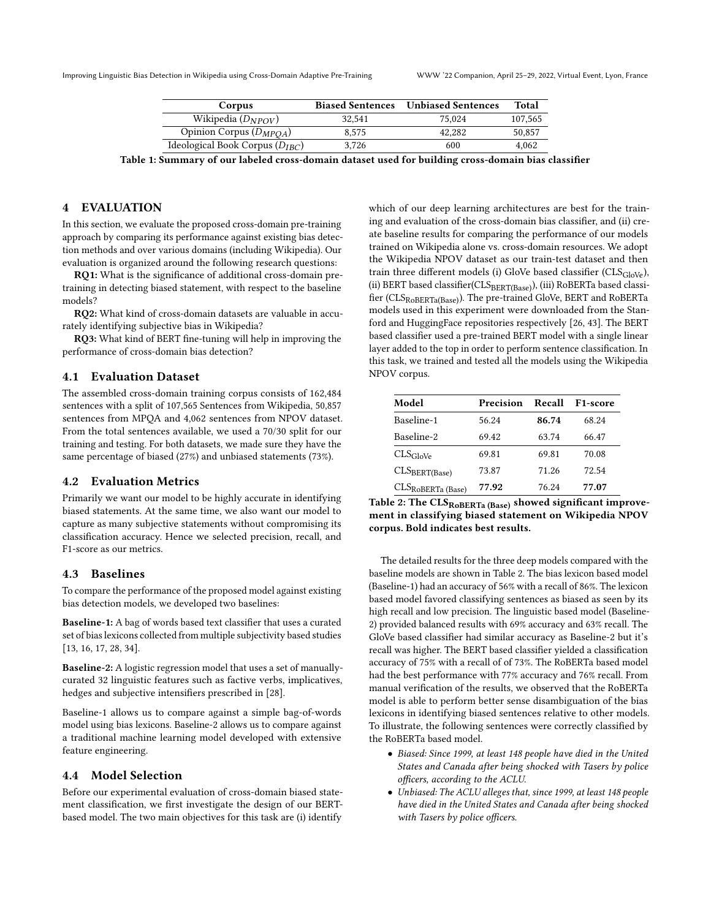<span id="page-4-0"></span>Improving Linguistic Bias Detection in Wikipedia using Cross-Domain Adaptive Pre-Training WWW '22 Companion, April 25–29, 2022, Virtual Event, Lyon, France

| Corpus                              | <b>Biased Sentences</b> | <b>Unbiased Sentences</b> | Total   |
|-------------------------------------|-------------------------|---------------------------|---------|
| Wikipedia $(D_{NPOV})$              | 32.541                  | 75.024                    | 107.565 |
| Opinion Corpus $(D_{MPOA})$         | 8.575                   | 42.282                    | 50,857  |
| Ideological Book Corpus $(D_{IBC})$ | 3.726                   | 600                       | 4.062   |

Table 1: Summary of our labeled cross-domain dataset used for building cross-domain bias classifier

# 4 EVALUATION

In this section, we evaluate the proposed cross-domain pre-training approach by comparing its performance against existing bias detection methods and over various domains (including Wikipedia). Our evaluation is organized around the following research questions:

RQ1: What is the significance of additional cross-domain pretraining in detecting biased statement, with respect to the baseline models?

RQ2: What kind of cross-domain datasets are valuable in accurately identifying subjective bias in Wikipedia?

RQ3: What kind of BERT fine-tuning will help in improving the performance of cross-domain bias detection?

## 4.1 Evaluation Dataset

The assembled cross-domain training corpus consists of 162,484 sentences with a split of 107,565 Sentences from Wikipedia, 50,857 sentences from MPQA and 4,062 sentences from NPOV dataset. From the total sentences available, we used a 70/30 split for our training and testing. For both datasets, we made sure they have the same percentage of biased (27%) and unbiased statements (73%).

# 4.2 Evaluation Metrics

Primarily we want our model to be highly accurate in identifying biased statements. At the same time, we also want our model to capture as many subjective statements without compromising its classification accuracy. Hence we selected precision, recall, and F1-score as our metrics.

# 4.3 Baselines

To compare the performance of the proposed model against existing bias detection models, we developed two baselines:

Baseline-1: A bag of words based text classifier that uses a curated set of bias lexicons collected from multiple subjectivity based studies [\[13,](#page-7-32) [16,](#page-7-33) [17,](#page-7-34) [28,](#page-7-6) [34\]](#page-7-35).

Baseline-2: A logistic regression model that uses a set of manuallycurated 32 linguistic features such as factive verbs, implicatives, hedges and subjective intensifiers prescribed in [\[28\]](#page-7-6).

Baseline-1 allows us to compare against a simple bag-of-words model using bias lexicons. Baseline-2 allows us to compare against a traditional machine learning model developed with extensive feature engineering.

### 4.4 Model Selection

Before our experimental evaluation of cross-domain biased statement classification, we first investigate the design of our BERTbased model. The two main objectives for this task are (i) identify

which of our deep learning architectures are best for the training and evaluation of the cross-domain bias classifier, and (ii) create baseline results for comparing the performance of our models trained on Wikipedia alone vs. cross-domain resources. We adopt the Wikipedia NPOV dataset as our train-test dataset and then train three different models (i) GloVe based classifier ( $CLS_{GloVe}$ ), (ii) BERT based classifier(CLSBERT(Base)), (iii) RoBERTa based classifier (CLSRoBERTa(Base)). The pre-trained GloVe, BERT and RoBERTa models used in this experiment were downloaded from the Stanford and HuggingFace repositories respectively [\[26,](#page-7-36) [43\]](#page-8-2). The BERT based classifier used a pre-trained BERT model with a single linear layer added to the top in order to perform sentence classification. In this task, we trained and tested all the models using the Wikipedia NPOV corpus.

<span id="page-4-1"></span>

| Model                     | Precision | Recall | F <sub>1</sub> -score |
|---------------------------|-----------|--------|-----------------------|
| Baseline-1                | 56.24     | 86.74  | 68.24                 |
| Baseline-2                | 69.42     | 63.74  | 66.47                 |
| $CLS_{GloVe}$             | 69.81     | 69.81  | 70.08                 |
| CLS <sub>BERT(Base)</sub> | 73.87     | 71.26  | 72.54                 |
| $CLSRoBERTa$ (Base)       | 77.92     | 76.24  | 77.07                 |

Table 2: The  $CLS_{ROBERTa (Base)}$  showed significant improvement in classifying biased statement on Wikipedia NPOV corpus. Bold indicates best results.

The detailed results for the three deep models compared with the baseline models are shown in Table [2.](#page-4-1) The bias lexicon based model (Baseline-1) had an accuracy of 56% with a recall of 86%. The lexicon based model favored classifying sentences as biased as seen by its high recall and low precision. The linguistic based model (Baseline-2) provided balanced results with 69% accuracy and 63% recall. The GloVe based classifier had similar accuracy as Baseline-2 but it's recall was higher. The BERT based classifier yielded a classification accuracy of 75% with a recall of of 73%. The RoBERTa based model had the best performance with 77% accuracy and 76% recall. From manual verification of the results, we observed that the RoBERTa model is able to perform better sense disambiguation of the bias lexicons in identifying biased sentences relative to other models. To illustrate, the following sentences were correctly classified by the RoBERTa based model.

- Biased: Since 1999, at least 148 people have died in the United States and Canada after being shocked with Tasers by police officers, according to the ACLU.
- Unbiased: The ACLU alleges that, since 1999, at least 148 people have died in the United States and Canada after being shocked with Tasers by police officers.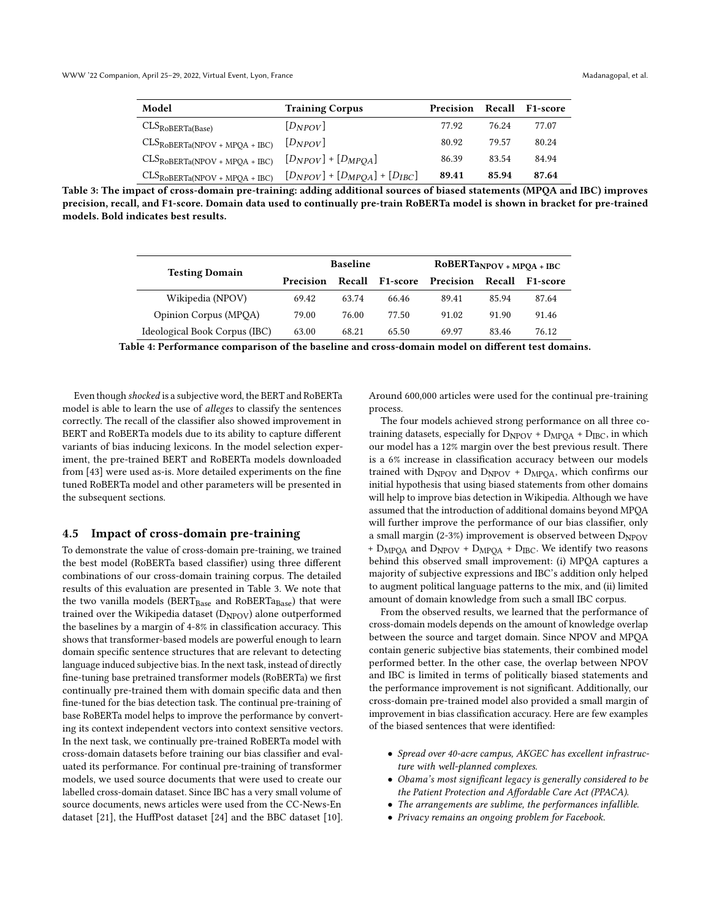<span id="page-5-1"></span>

| Model                                                                             | <b>Training Corpus</b> | Precision |       | <b>Recall F1-score</b> |
|-----------------------------------------------------------------------------------|------------------------|-----------|-------|------------------------|
| $\mathrm{CLS}_{\mathrm{RoBERTa(Base)}}$                                           | $[D_{NPOV}]$           | 77.92     | 76.24 | 77.07                  |
| $CLS_{ROBERTa(NPOV + MPQA + IBC)}$ $[D_{NPOV}]$                                   |                        | 80.92     | 79.57 | 80.24                  |
| $\text{CLS}_{\text{ROBERTa}(\text{NPOV + MPQA + IBC})}$ $[D_{NPOV}] + [D_{MPQA}]$ |                        | 86.39     | 83.54 | 84.94                  |
| $CLS_{ROBERTa(NPOV + MPQA + IBC)}$ $[D_{NPOV}] + [D_{MPQA}] + [D_{IBC}]$          |                        | 89.41     | 85.94 | 87.64                  |

<span id="page-5-0"></span>Table 3: The impact of cross-domain pre-training: adding additional sources of biased statements (MPQA and IBC) improves precision, recall, and F1-score. Domain data used to continually pre-train RoBERTa model is shown in bracket for pre-trained models. Bold indicates best results.

| <b>Testing Domain</b>         | <b>Baseline</b> |        |          | $RoBERTaNPOV + MPQA + IBC$ |        |                       |
|-------------------------------|-----------------|--------|----------|----------------------------|--------|-----------------------|
|                               | Precision       | Recall | F1-score | Precision                  | Recall | F <sub>1</sub> -score |
| Wikipedia (NPOV)              | 69.42           | 63.74  | 66.46    | 89.41                      | 85.94  | 87.64                 |
| Opinion Corpus (MPOA)         | 79.00           | 76.00  | 77.50    | 91.02                      | 91.90  | 91.46                 |
| Ideological Book Corpus (IBC) | 63.00           | 68.21  | 65.50    | 69.97                      | 83.46  | 76.12                 |

Table 4: Performance comparison of the baseline and cross-domain model on different test domains.

Even though shocked is a subjective word, the BERT and RoBERTa model is able to learn the use of alleges to classify the sentences correctly. The recall of the classifier also showed improvement in BERT and RoBERTa models due to its ability to capture different variants of bias inducing lexicons. In the model selection experiment, the pre-trained BERT and RoBERTa models downloaded from [\[43\]](#page-8-2) were used as-is. More detailed experiments on the fine tuned RoBERTa model and other parameters will be presented in the subsequent sections.

### 4.5 Impact of cross-domain pre-training

To demonstrate the value of cross-domain pre-training, we trained the best model (RoBERTa based classifier) using three different combinations of our cross-domain training corpus. The detailed results of this evaluation are presented in Table [3.](#page-5-1) We note that the two vanilla models ( $BERT_{Base}$  and  $RoBERTa_{Base}$ ) that were trained over the Wikipedia dataset  $(D_{NPOV})$  alone outperformed the baselines by a margin of 4-8% in classification accuracy. This shows that transformer-based models are powerful enough to learn domain specific sentence structures that are relevant to detecting language induced subjective bias. In the next task, instead of directly fine-tuning base pretrained transformer models (RoBERTa) we first continually pre-trained them with domain specific data and then fine-tuned for the bias detection task. The continual pre-training of base RoBERTa model helps to improve the performance by converting its context independent vectors into context sensitive vectors. In the next task, we continually pre-trained RoBERTa model with cross-domain datasets before training our bias classifier and evaluated its performance. For continual pre-training of transformer models, we used source documents that were used to create our labelled cross-domain dataset. Since IBC has a very small volume of source documents, news articles were used from the CC-News-En dataset [\[21\]](#page-7-37), the HuffPost dataset [\[24\]](#page-7-38) and the BBC dataset [\[10\]](#page-7-39).

Around 600,000 articles were used for the continual pre-training process.

The four models achieved strong performance on all three cotraining datasets, especially for  $D_{NPOV}$  +  $D_{MPOA}$  +  $D_{IBC}$ , in which our model has a 12% margin over the best previous result. There is a 6% increase in classification accuracy between our models trained with  $D_{NPOV}$  and  $D_{NPOV}$  +  $D_{MPOA}$ , which confirms our initial hypothesis that using biased statements from other domains will help to improve bias detection in Wikipedia. Although we have assumed that the introduction of additional domains beyond MPQA will further improve the performance of our bias classifier, only a small margin (2-3%) improvement is observed between  $D_{\text{NPOV}}$ + D<sub>MPQA</sub> and D<sub>NPOV</sub> + D<sub>MPQA</sub> + D<sub>IBC</sub>. We identify two reasons behind this observed small improvement: (i) MPQA captures a majority of subjective expressions and IBC's addition only helped to augment political language patterns to the mix, and (ii) limited amount of domain knowledge from such a small IBC corpus.

From the observed results, we learned that the performance of cross-domain models depends on the amount of knowledge overlap between the source and target domain. Since NPOV and MPQA contain generic subjective bias statements, their combined model performed better. In the other case, the overlap between NPOV and IBC is limited in terms of politically biased statements and the performance improvement is not significant. Additionally, our cross-domain pre-trained model also provided a small margin of improvement in bias classification accuracy. Here are few examples of the biased sentences that were identified:

- Spread over 40-acre campus, AKGEC has excellent infrastructure with well-planned complexes.
- Obama's most significant legacy is generally considered to be the Patient Protection and Affordable Care Act (PPACA).
- The arrangements are sublime, the performances infallible.
- Privacy remains an ongoing problem for Facebook.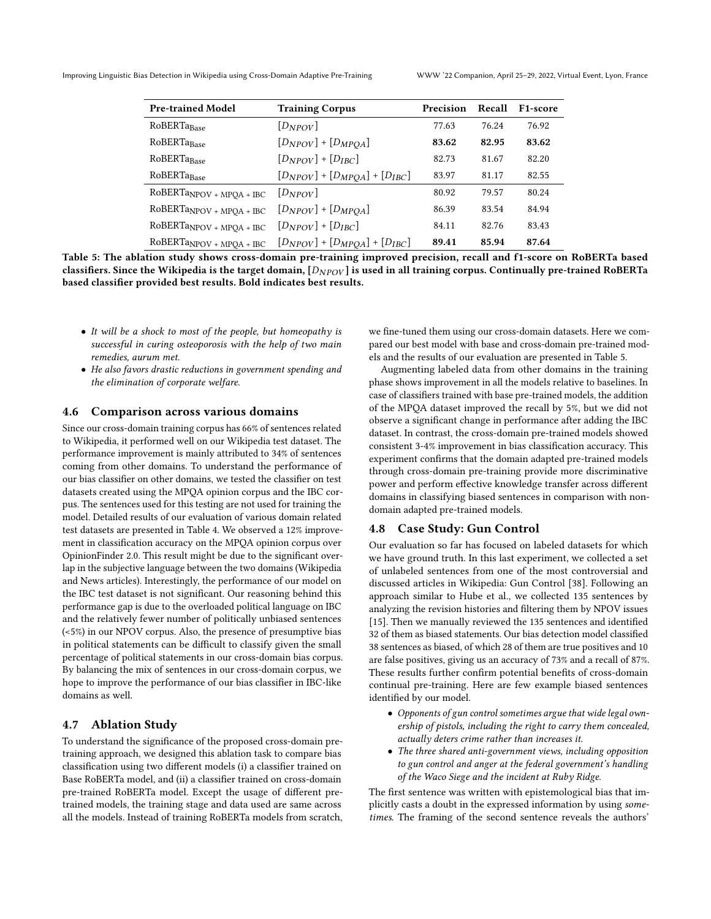<span id="page-6-0"></span>Improving Linguistic Bias Detection in Wikipedia using Cross-Domain Adaptive Pre-Training WWW '22 Companion, April 25–29, 2022, Virtual Event, Lyon, France

| <b>Pre-trained Model</b>   | <b>Training Corpus</b>                | Precision | Recall | F <sub>1</sub> -score |
|----------------------------|---------------------------------------|-----------|--------|-----------------------|
| RoBERTaBase                | $[D_{NPOV}]$                          | 77.63     | 76.24  | 76.92                 |
| RoBERTaBase                | $[D_{NPOV}] + [D_{MPOA}]$             | 83.62     | 82.95  | 83.62                 |
| RoBERTaBase                | $[D_{NPOV}] + [D_{IRC}]$              | 82.73     | 81.67  | 82.20                 |
| RoBERTaBase                | $[D_{NPOV}] + [D_{MPOA}] + [D_{IBC}]$ | 83.97     | 81.17  | 82.55                 |
| $ROBERTaNPOV + MPQA + IBC$ | $[D_{NPOV}]$                          | 80.92     | 79.57  | 80.24                 |
| $RoBERTaNPOV + MPQA + IBC$ | $[D_{NPOV}] + [D_{MPOA}]$             | 86.39     | 83.54  | 84.94                 |
| $RoBERTaNPOV + MPQA + IBC$ | $[D_{NPOV}] + [D_{IRC}]$              | 84.11     | 82.76  | 83.43                 |
| $RoBERTaNPOV + MPQA + IBC$ | $[D_{NPOV}] + [D_{MPOA}] + [D_{IBC}]$ | 89.41     | 85.94  | 87.64                 |

Table 5: The ablation study shows cross-domain pre-training improved precision, recall and f1-score on RoBERTa based classifiers. Since the Wikipedia is the target domain,  $[D_{NPOV}]$  is used in all training corpus. Continually pre-trained RoBERTa based classifier provided best results. Bold indicates best results.

- It will be a shock to most of the people, but homeopathy is successful in curing osteoporosis with the help of two main remedies, aurum met.
- He also favors drastic reductions in government spending and the elimination of corporate welfare.

# 4.6 Comparison across various domains

Since our cross-domain training corpus has 66% of sentences related to Wikipedia, it performed well on our Wikipedia test dataset. The performance improvement is mainly attributed to 34% of sentences coming from other domains. To understand the performance of our bias classifier on other domains, we tested the classifier on test datasets created using the MPQA opinion corpus and the IBC corpus. The sentences used for this testing are not used for training the model. Detailed results of our evaluation of various domain related test datasets are presented in Table [4.](#page-5-0) We observed a 12% improvement in classification accuracy on the MPQA opinion corpus over OpinionFinder 2.0. This result might be due to the significant overlap in the subjective language between the two domains (Wikipedia and News articles). Interestingly, the performance of our model on the IBC test dataset is not significant. Our reasoning behind this performance gap is due to the overloaded political language on IBC and the relatively fewer number of politically unbiased sentences (<5%) in our NPOV corpus. Also, the presence of presumptive bias in political statements can be difficult to classify given the small percentage of political statements in our cross-domain bias corpus. By balancing the mix of sentences in our cross-domain corpus, we hope to improve the performance of our bias classifier in IBC-like domains as well.

# 4.7 Ablation Study

To understand the significance of the proposed cross-domain pretraining approach, we designed this ablation task to compare bias classification using two different models (i) a classifier trained on Base RoBERTa model, and (ii) a classifier trained on cross-domain pre-trained RoBERTa model. Except the usage of different pretrained models, the training stage and data used are same across all the models. Instead of training RoBERTa models from scratch, we fine-tuned them using our cross-domain datasets. Here we compared our best model with base and cross-domain pre-trained models and the results of our evaluation are presented in Table [5.](#page-6-0)

Augmenting labeled data from other domains in the training phase shows improvement in all the models relative to baselines. In case of classifiers trained with base pre-trained models, the addition of the MPQA dataset improved the recall by 5%, but we did not observe a significant change in performance after adding the IBC dataset. In contrast, the cross-domain pre-trained models showed consistent 3-4% improvement in bias classification accuracy. This experiment confirms that the domain adapted pre-trained models through cross-domain pre-training provide more discriminative power and perform effective knowledge transfer across different domains in classifying biased sentences in comparison with nondomain adapted pre-trained models.

#### 4.8 Case Study: Gun Control

Our evaluation so far has focused on labeled datasets for which we have ground truth. In this last experiment, we collected a set of unlabeled sentences from one of the most controversial and discussed articles in Wikipedia: Gun Control [\[38\]](#page-7-40). Following an approach similar to Hube et al., we collected 135 sentences by analyzing the revision histories and filtering them by NPOV issues [\[15\]](#page-7-8). Then we manually reviewed the 135 sentences and identified 32 of them as biased statements. Our bias detection model classified 38 sentences as biased, of which 28 of them are true positives and 10 are false positives, giving us an accuracy of 73% and a recall of 87%. These results further confirm potential benefits of cross-domain continual pre-training. Here are few example biased sentences identified by our model.

- Opponents of gun control sometimes argue that wide legal ownership of pistols, including the right to carry them concealed, actually deters crime rather than increases it.
- The three shared anti-government views, including opposition to gun control and anger at the federal government's handling of the Waco Siege and the incident at Ruby Ridge.

The first sentence was written with epistemological bias that implicitly casts a doubt in the expressed information by using sometimes. The framing of the second sentence reveals the authors'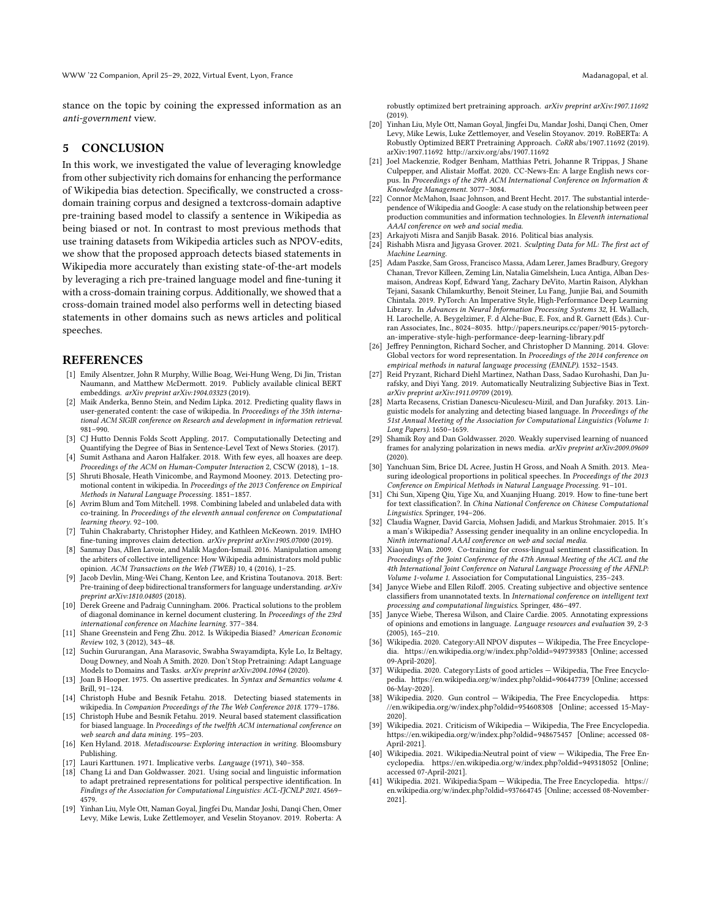stance on the topic by coining the expressed information as an anti-government view.

# 5 CONCLUSION

In this work, we investigated the value of leveraging knowledge from other subjectivity rich domains for enhancing the performance of Wikipedia bias detection. Specifically, we constructed a crossdomain training corpus and designed a textcross-domain adaptive pre-training based model to classify a sentence in Wikipedia as being biased or not. In contrast to most previous methods that use training datasets from Wikipedia articles such as NPOV-edits, we show that the proposed approach detects biased statements in Wikipedia more accurately than existing state-of-the-art models by leveraging a rich pre-trained language model and fine-tuning it with a cross-domain training corpus. Additionally, we showed that a cross-domain trained model also performs well in detecting biased statements in other domains such as news articles and political speeches.

#### REFERENCES

- <span id="page-7-26"></span>[1] Emily Alsentzer, John R Murphy, Willie Boag, Wei-Hung Weng, Di Jin, Tristan Naumann, and Matthew McDermott. 2019. Publicly available clinical BERT embeddings. arXiv preprint arXiv:1904.03323 (2019).
- <span id="page-7-13"></span>[2] Maik Anderka, Benno Stein, and Nedim Lipka. 2012. Predicting quality flaws in user-generated content: the case of wikipedia. In Proceedings of the 35th international ACM SIGIR conference on Research and development in information retrieval. 981–990.
- <span id="page-7-12"></span>[3] CJ Hutto Dennis Folds Scott Appling. 2017. Computationally Detecting and Quantifying the Degree of Bias in Sentence-Level Text of News Stories. (2017). [4] Sumit Asthana and Aaron Halfaker. 2018. With few eyes, all hoaxes are deep.
- <span id="page-7-17"></span>Proceedings of the ACM on Human-Computer Interaction 2, CSCW (2018), 1–18.
- <span id="page-7-2"></span>[5] Shruti Bhosale, Heath Vinicombe, and Raymond Mooney. 2013. Detecting promotional content in wikipedia. In Proceedings of the 2013 Conference on Empirical Methods in Natural Language Processing. 1851–1857.
- <span id="page-7-18"></span>[6] Avrim Blum and Tom Mitchell. 1998. Combining labeled and unlabeled data with co-training. In Proceedings of the eleventh annual conference on Computational learning theory. 92–100.
- <span id="page-7-27"></span>[7] Tuhin Chakrabarty, Christopher Hidey, and Kathleen McKeown. 2019. IMHO fine-tuning improves claim detection. arXiv preprint arXiv:1905.07000 (2019).
- <span id="page-7-10"></span>[8] Sanmay Das, Allen Lavoie, and Malik Magdon-Ismail. 2016. Manipulation among the arbiters of collective intelligence: How Wikipedia administrators mold public opinion. ACM Transactions on the Web (TWEB) 10, 4 (2016), 1–25.
- <span id="page-7-30"></span>[9] Jacob Devlin, Ming-Wei Chang, Kenton Lee, and Kristina Toutanova. 2018. Bert: Pre-training of deep bidirectional transformers for language understanding. arXiv preprint arXiv:1810.04805 (2018).
- <span id="page-7-39"></span>[10] Derek Greene and Padraig Cunningham. 2006. Practical solutions to the problem of diagonal dominance in kernel document clustering. In Proceedings of the 23rd international conference on Machine learning. 377–384.
- <span id="page-7-20"></span>[11] Shane Greenstein and Feng Zhu. 2012. Is Wikipedia Biased? American Economic Review 102, 3 (2012), 343–48.
- <span id="page-7-7"></span>[12] Suchin Gururangan, Ana Marasovic, Swabha Swayamdipta, Kyle Lo, Iz Beltagy, Doug Downey, and Noah A Smith. 2020. Don't Stop Pretraining: Adapt Language Models to Domains and Tasks. arXiv preprint arXiv:2004.10964 (2020).
- <span id="page-7-32"></span>[13] Joan B Hooper. 1975. On assertive predicates. In Syntax and Semantics volume 4. Brill, 91–124.
- <span id="page-7-3"></span>[14] Christoph Hube and Besnik Fetahu. 2018. Detecting biased statements in wikipedia. In Companion Proceedings of the The Web Conference 2018. 1779–1786.
- <span id="page-7-8"></span>[15] Christoph Hube and Besnik Fetahu. 2019. Neural based statement classification for biased language. In Proceedings of the twelfth ACM international conference on web search and data mining. 195–203.
- <span id="page-7-33"></span>[16] Ken Hyland. 2018. Metadiscourse: Exploring interaction in writing. Bloomsbury Publishing.
- <span id="page-7-34"></span>[17] Lauri Karttunen. 1971. Implicative verbs. Language (1971), 340–358.
- <span id="page-7-16"></span>[18] Chang Li and Dan Goldwasser. 2021. Using social and linguistic information to adapt pretrained representations for political perspective identification. In Findings of the Association for Computational Linguistics: ACL-IJCNLP 2021. 4569– 4579.
- <span id="page-7-25"></span>[19] Yinhan Liu, Myle Ott, Naman Goyal, Jingfei Du, Mandar Joshi, Danqi Chen, Omer Levy, Mike Lewis, Luke Zettlemoyer, and Veselin Stoyanov. 2019. Roberta: A

robustly optimized bert pretraining approach. arXiv preprint arXiv:1907.11692  $(2019)$ 

- <span id="page-7-31"></span>[20] Yinhan Liu, Myle Ott, Naman Goyal, Jingfei Du, Mandar Joshi, Danqi Chen, Omer Levy, Mike Lewis, Luke Zettlemoyer, and Veselin Stoyanov. 2019. RoBERTa: A Robustly Optimized BERT Pretraining Approach. CoRR abs/1907.11692 (2019). arXiv[:1907.11692](https://arxiv.org/abs/1907.11692)<http://arxiv.org/abs/1907.11692>
- <span id="page-7-37"></span>[21] Joel Mackenzie, Rodger Benham, Matthias Petri, Johanne R Trippas, J Shane Culpepper, and Alistair Moffat. 2020. CC-News-En: A large English news corpus. In Proceedings of the 29th ACM International Conference on Information & Knowledge Management. 3077–3084.
- <span id="page-7-0"></span>[22] Connor McMahon, Isaac Johnson, and Brent Hecht. 2017. The substantial interdependence of Wikipedia and Google: A case study on the relationship between peer production communities and information technologies. In Eleventh international AAAI conference on web and social media.
- <span id="page-7-4"></span>[23] Arkajyoti Misra and Sanjib Basak. 2016. Political bias analysis.<br>[24] Rishabh Misra and Jigyasa Grover. 2021. Sculpting Data for M
- <span id="page-7-38"></span>Rishabh Misra and Jigyasa Grover. 2021. Sculpting Data for ML: The first act of Machine Learning.
- <span id="page-7-29"></span>[25] Adam Paszke, Sam Gross, Francisco Massa, Adam Lerer, James Bradbury, Gregory Chanan, Trevor Killeen, Zeming Lin, Natalia Gimelshein, Luca Antiga, Alban Desmaison, Andreas Kopf, Edward Yang, Zachary DeVito, Martin Raison, Alykhan Tejani, Sasank Chilamkurthy, Benoit Steiner, Lu Fang, Junjie Bai, and Soumith Chintala. 2019. PyTorch: An Imperative Style, High-Performance Deep Learning Library. In Advances in Neural Information Processing Systems 32, H. Wallach, H. Larochelle, A. Beygelzimer, F. d Alche-Buc, E. Fox, and R. Garnett (Eds.). Curran Associates, Inc., 8024–8035. [http://papers.neurips.cc/paper/9015-pytorch](http://papers.neurips.cc/paper/9015-pytorch-an-imperative-style-high-performance-deep-learning-library.pdf)[an-imperative-style-high-performance-deep-learning-library.pdf](http://papers.neurips.cc/paper/9015-pytorch-an-imperative-style-high-performance-deep-learning-library.pdf)
- <span id="page-7-36"></span>[26] Jeffrey Pennington, Richard Socher, and Christopher D Manning. 2014. Glove: Global vectors for word representation. In Proceedings of the 2014 conference on empirical methods in natural language processing (EMNLP). 1532–1543.
- <span id="page-7-5"></span>[27] Reid Pryzant, Richard Diehl Martinez, Nathan Dass, Sadao Kurohashi, Dan Jurafsky, and Diyi Yang. 2019. Automatically Neutralizing Subjective Bias in Text. arXiv preprint arXiv:1911.09709 (2019).
- <span id="page-7-6"></span>[28] Marta Recasens, Cristian Danescu-Niculescu-Mizil, and Dan Jurafsky. 2013. Linguistic models for analyzing and detecting biased language. In Proceedings of the 51st Annual Meeting of the Association for Computational Linguistics (Volume 1: Long Papers). 1650–1659.
- <span id="page-7-15"></span>[29] Shamik Roy and Dan Goldwasser. 2020. Weakly supervised learning of nuanced frames for analyzing polarization in news media. arXiv preprint arXiv:2009.09609 (2020).
- <span id="page-7-24"></span>[30] Yanchuan Sim, Brice DL Acree, Justin H Gross, and Noah A Smith. 2013. Measuring ideological proportions in political speeches. In Proceedings of the 2013 Conference on Empirical Methods in Natural Language Processing. 91–101.
- <span id="page-7-28"></span>[31] Chi Sun, Xipeng Qiu, Yige Xu, and Xuanjing Huang. 2019. How to fine-tune bert for text classification?. In China National Conference on Chinese Computational Linguistics. Springer, 194–206.
- <span id="page-7-14"></span>[32] Claudia Wagner, David Garcia, Mohsen Jadidi, and Markus Strohmaier. 2015. It's a man's Wikipedia? Assessing gender inequality in an online encyclopedia. In Ninth international AAAI conference on web and social media.
- <span id="page-7-19"></span>[33] Xiaojun Wan. 2009. Co-training for cross-lingual sentiment classification. In Proceedings of the Joint Conference of the 47th Annual Meeting of the ACL and the 4th International Joint Conference on Natural Language Processing of the AFNLP: Volume 1-volume 1. Association for Computational Linguistics, 235–243.
- <span id="page-7-35"></span>[34] Janyce Wiebe and Ellen Riloff. 2005. Creating subjective and objective sentence classifiers from unannotated texts. In International conference on intelligent text processing and computational linguistics. Springer, 486–497.
- <span id="page-7-23"></span>[35] Janyce Wiebe, Theresa Wilson, and Claire Cardie. 2005. Annotating expressions of opinions and emotions in language. Language resources and evaluation 39, 2-3 (2005), 165–210.
- <span id="page-7-21"></span>[36] Wikipedia. 2020. Category:All NPOV disputes — Wikipedia, The Free Encyclopedia.<https://en.wikipedia.org/w/index.php?oldid=949739383> [Online; accessed 09-April-2020].
- <span id="page-7-22"></span>[37] Wikipedia. 2020. Category:Lists of good articles — Wikipedia, The Free Encyclopedia.<https://en.wikipedia.org/w/index.php?oldid=906447739> [Online; accessed 06-May-2020].
- <span id="page-7-40"></span>[38] Wikipedia. 2020. Gun control — Wikipedia, The Free Encyclopedia. [https:](https://en.wikipedia.org/w/index.php?oldid=954608308) [//en.wikipedia.org/w/index.php?oldid=954608308](https://en.wikipedia.org/w/index.php?oldid=954608308) [Online; accessed 15-May-2020].
- <span id="page-7-9"></span>[39] Wikipedia. 2021. Criticism of Wikipedia — Wikipedia, The Free Encyclopedia. <https://en.wikipedia.org/w/index.php?oldid=948675457> [Online; accessed 08- April-2021].
- <span id="page-7-1"></span>[40] Wikipedia. 2021. Wikipedia:Neutral point of view — Wikipedia, The Free Encyclopedia.<https://en.wikipedia.org/w/index.php?oldid=949318052> [Online; accessed 07-April-2021].
- <span id="page-7-11"></span>[41] Wikipedia. 2021. Wikipedia:Spam — Wikipedia, The Free Encyclopedia. [https://](https://en.wikipedia.org/w/index.php?oldid=937664745) [en.wikipedia.org/w/index.php?oldid=937664745](https://en.wikipedia.org/w/index.php?oldid=937664745) [Online; accessed 08-November-2021].